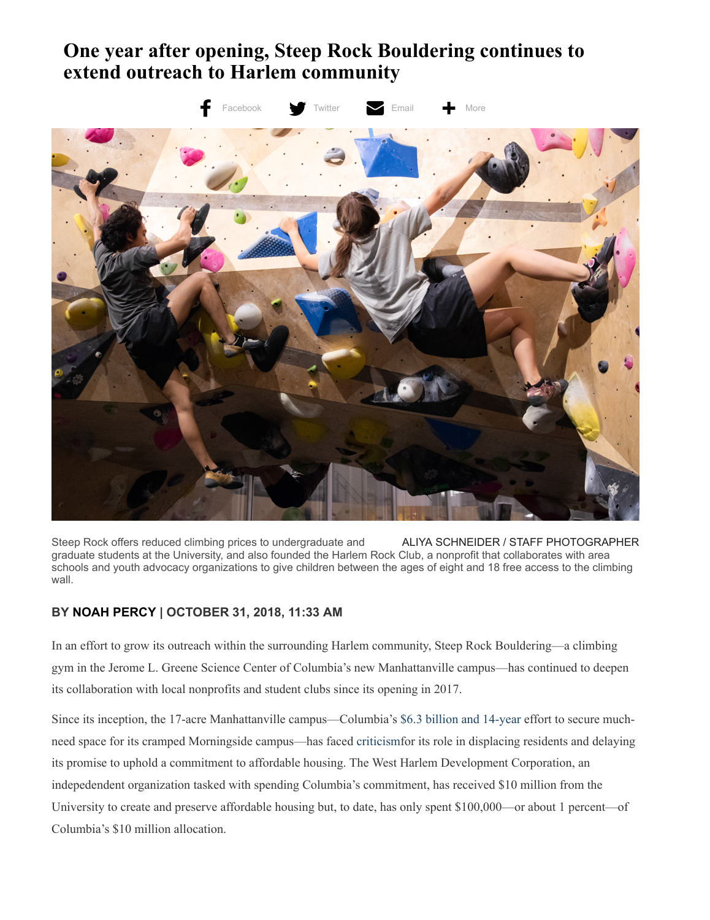## **One year after opening, Steep Rock Bouldering continues to extend outreach to Harlem community**



Steep Rock offers reduced climbing prices to undergraduate and **ALIYA SCHNEIDER / STAFF PHOTOGRAPHER** graduate students at the University, and also founded the Harlem Rock Club, a nonprofit that collaborates with area schools and youth advocacy organizations to give children between the ages of eight and 18 free access to the climbing wall.

## **BY [NOAH PERCY](http://columbiaspectator.com/contributors/Noah-Percy/) | OCTOBER 31, 2018, 11:33 AM**

In an effort to grow its outreach within the surrounding Harlem community, Steep Rock Bouldering—a climbing gym in the Jerome L. Greene Science Center of Columbia's new Manhattanville campus—has continued to deepen its collaboration with local nonprofits and student clubs since its opening in 2017.

Since its inception, the 17-acre Manhattanville campus—Columbia's [\\$6.3 billion and 14-year](https://www.columbiaspectator.com/lead/2016/05/05/unfunded-mandate-columbia-college-arts-and-sciences-and-bollinger-era/) effort to secure muchneed space for its cramped Morningside campus—has faced [criticism](https://www.columbiaspectator.com/the-eye/2018/02/13/nine-years-later-just-1-percent-of-columbias-10-million-commitment-to-affordable-housing-has-been-spent/)for its role in displacing residents and delaying its promise to uphold a commitment to affordable housing. The West Harlem Development Corporation, an indepedendent organization tasked with spending Columbia's commitment, has received \$10 million from the University to create and preserve affordable housing but, to date, has only spent \$100,000—or about 1 percent—of Columbia's \$10 million allocation.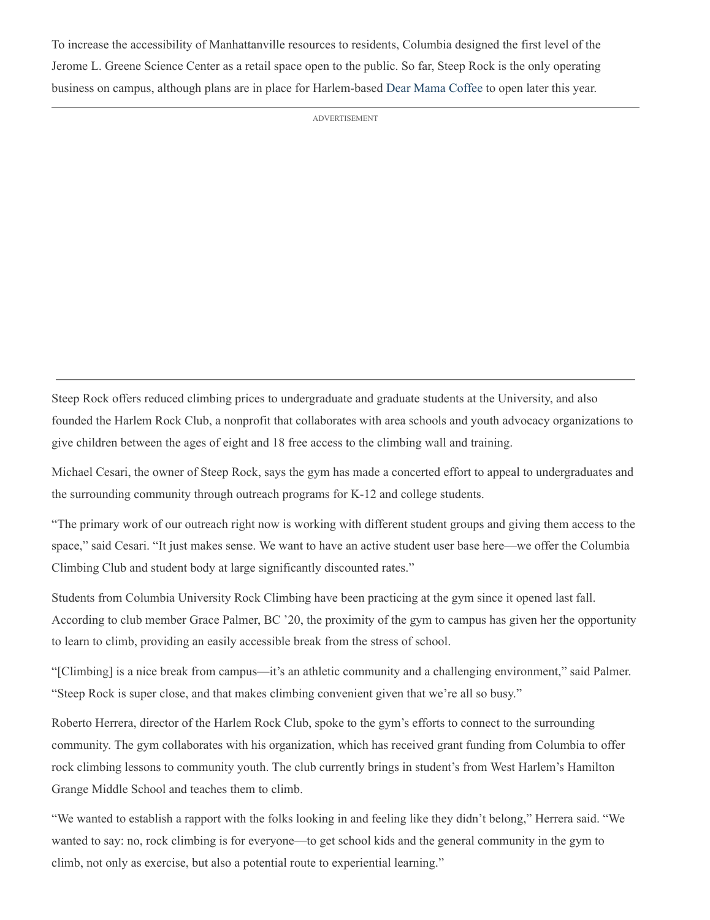To increase the accessibility of Manhattanville resources to residents, Columbia designed the first level of the Jerome L. Greene Science Center as a retail space open to the public. So far, Steep Rock is the only operating business on campus, although plans are in place for Harlem-based [Dear Mama Coffee](https://www.instagram.com/dearmamanyc/?hl=en) to open later this year.

ADVERTISEMENT

Steep Rock offers reduced climbing prices to undergraduate and graduate students at the University, and also founded the Harlem Rock Club, a nonprofit that collaborates with area schools and youth advocacy organizations to give children between the ages of eight and 18 free access to the climbing wall and training.

Michael Cesari, the owner of Steep Rock, says the gym has made a concerted effort to appeal to undergraduates and the surrounding community through outreach programs for K-12 and college students.

"The primary work of our outreach right now is working with different student groups and giving them access to the space," said Cesari. "It just makes sense. We want to have an active student user base here—we offer the Columbia Climbing Club and student body at large significantly discounted rates."

Students from Columbia University Rock Climbing have been practicing at the gym since it opened last fall. According to club member Grace Palmer, BC '20, the proximity of the gym to campus has given her the opportunity to learn to climb, providing an easily accessible break from the stress of school.

"[Climbing] is a nice break from campus—it's an athletic community and a challenging environment," said Palmer. "Steep Rock is super close, and that makes climbing convenient given that we're all so busy."

Roberto Herrera, director of the Harlem Rock Club, spoke to the gym's efforts to connect to the surrounding community. The gym collaborates with his organization, which has received grant funding from Columbia to offer rock climbing lessons to community youth. The club currently brings in student's from West Harlem's Hamilton Grange Middle School and teaches them to climb.

"We wanted to establish a rapport with the folks looking in and feeling like they didn't belong," Herrera said. "We wanted to say: no, rock climbing is for everyone—to get school kids and the general community in the gym to climb, not only as exercise, but also a potential route to experiential learning."